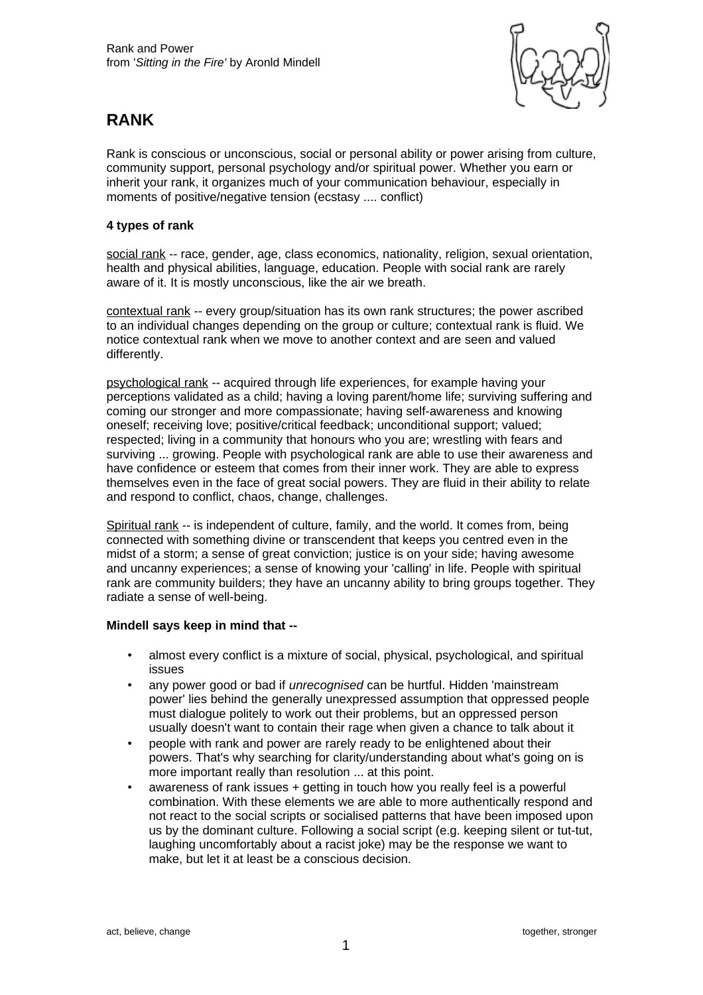

## **RANK**

Rank is conscious or unconscious, social or personal ability or power arising from culture, community support, personal psychology and/or spiritual power. Whether you earn or inherit your rank, it organizes much of your communication behaviour, especially in moments of positive/negative tension (ecstasy .... conflict)

## **4 types of rank**

social rank -- race, gender, age, class economics, nationality, religion, sexual orientation, health and physical abilities, language, education. People with social rank are rarely aware of it. It is mostly unconscious, like the air we breath.

contextual rank -- every group/situation has its own rank structures; the power ascribed to an individual changes depending on the group or culture; contextual rank is fluid. We notice contextual rank when we move to another context and are seen and valued differently.

psychological rank -- acquired through life experiences, for example having your perceptions validated as a child; having a loving parent/home life; surviving suffering and coming our stronger and more compassionate; having self-awareness and knowing oneself; receiving love; positive/critical feedback; unconditional support; valued; respected; living in a community that honours who you are; wrestling with fears and surviving ... growing. People with psychological rank are able to use their awareness and have confidence or esteem that comes from their inner work. They are able to express themselves even in the face of great social powers. They are fluid in their ability to relate and respond to conflict, chaos, change, challenges.

Spiritual rank -- is independent of culture, family, and the world. It comes from, being connected with something divine or transcendent that keeps you centred even in the midst of a storm; a sense of great conviction; justice is on your side; having awesome and uncanny experiences; a sense of knowing your 'calling' in life. People with spiritual rank are community builders; they have an uncanny ability to bring groups together. They radiate a sense of well-being.

## **Mindell says keep in mind that --**

- almost every conflict is a mixture of social, physical, psychological, and spiritual issues
- any power good or bad if *unrecognised* can be hurtful. Hidden 'mainstream power' lies behind the generally unexpressed assumption that oppressed people must dialogue politely to work out their problems, but an oppressed person usually doesn't want to contain their rage when given a chance to talk about it
- people with rank and power are rarely ready to be enlightened about their powers. That's why searching for clarity/understanding about what's going on is more important really than resolution ... at this point.
- awareness of rank issues + getting in touch how you really feel is a powerful combination. With these elements we are able to more authentically respond and not react to the social scripts or socialised patterns that have been imposed upon us by the dominant culture. Following a social script (e.g. keeping silent or tut-tut, laughing uncomfortably about a racist joke) may be the response we want to make, but let it at least be a conscious decision.